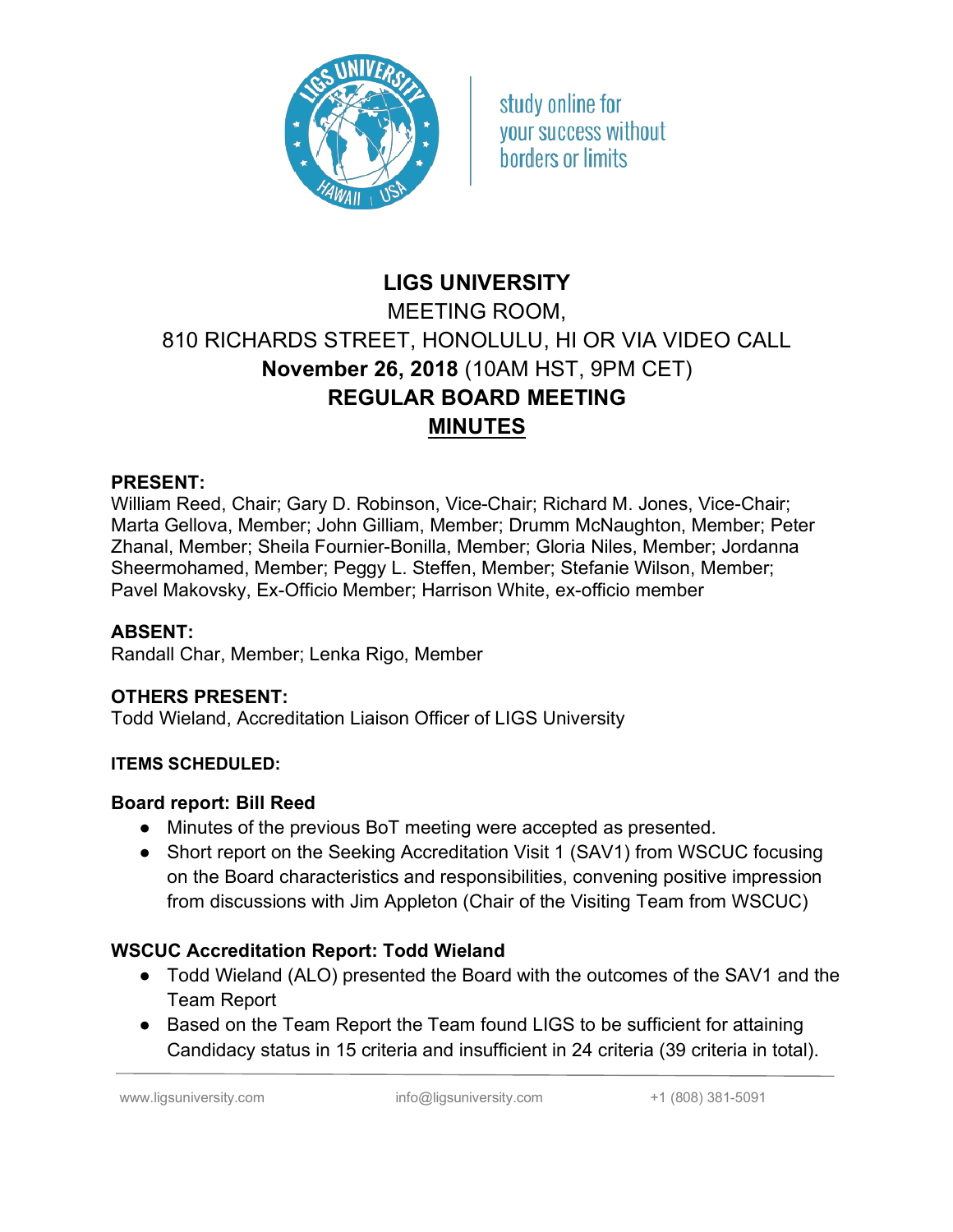

study online for vour success without horders or limits

# **LIGS UNIVERSITY** MEETING ROOM, 810 RICHARDS STREET, HONOLULU, HI OR VIA VIDEO CALL **November 26, 2018** (10AM HST, 9PM CET) **REGULAR BOARD MEETING MINUTES**

#### **PRESENT:**

William Reed, Chair; Gary D. Robinson, Vice-Chair; Richard M. Jones, Vice-Chair; Marta Gellova, Member; John Gilliam, Member; Drumm McNaughton, Member; Peter Zhanal, Member; Sheila Fournier-Bonilla, Member; Gloria Niles, Member; Jordanna Sheermohamed, Member; Peggy L. Steffen, Member; Stefanie Wilson, Member; Pavel Makovsky, Ex-Officio Member; Harrison White, ex-officio member

#### **ABSENT:**

Randall Char, Member; Lenka Rigo, Member

#### **OTHERS PRESENT:**

Todd Wieland, Accreditation Liaison Officer of LIGS University

#### **ITEMS SCHEDULED:**

#### **Board report: Bill Reed**

- Minutes of the previous BoT meeting were accepted as presented.
- Short report on the Seeking Accreditation Visit 1 (SAV1) from WSCUC focusing on the Board characteristics and responsibilities, convening positive impression from discussions with Jim Appleton (Chair of the Visiting Team from WSCUC)

#### **WSCUC Accreditation Report: Todd Wieland**

- Todd Wieland (ALO) presented the Board with the outcomes of the SAV1 and the Team Report
- Based on the Team Report the Team found LIGS to be sufficient for attaining Candidacy status in 15 criteria and insufficient in 24 criteria (39 criteria in total).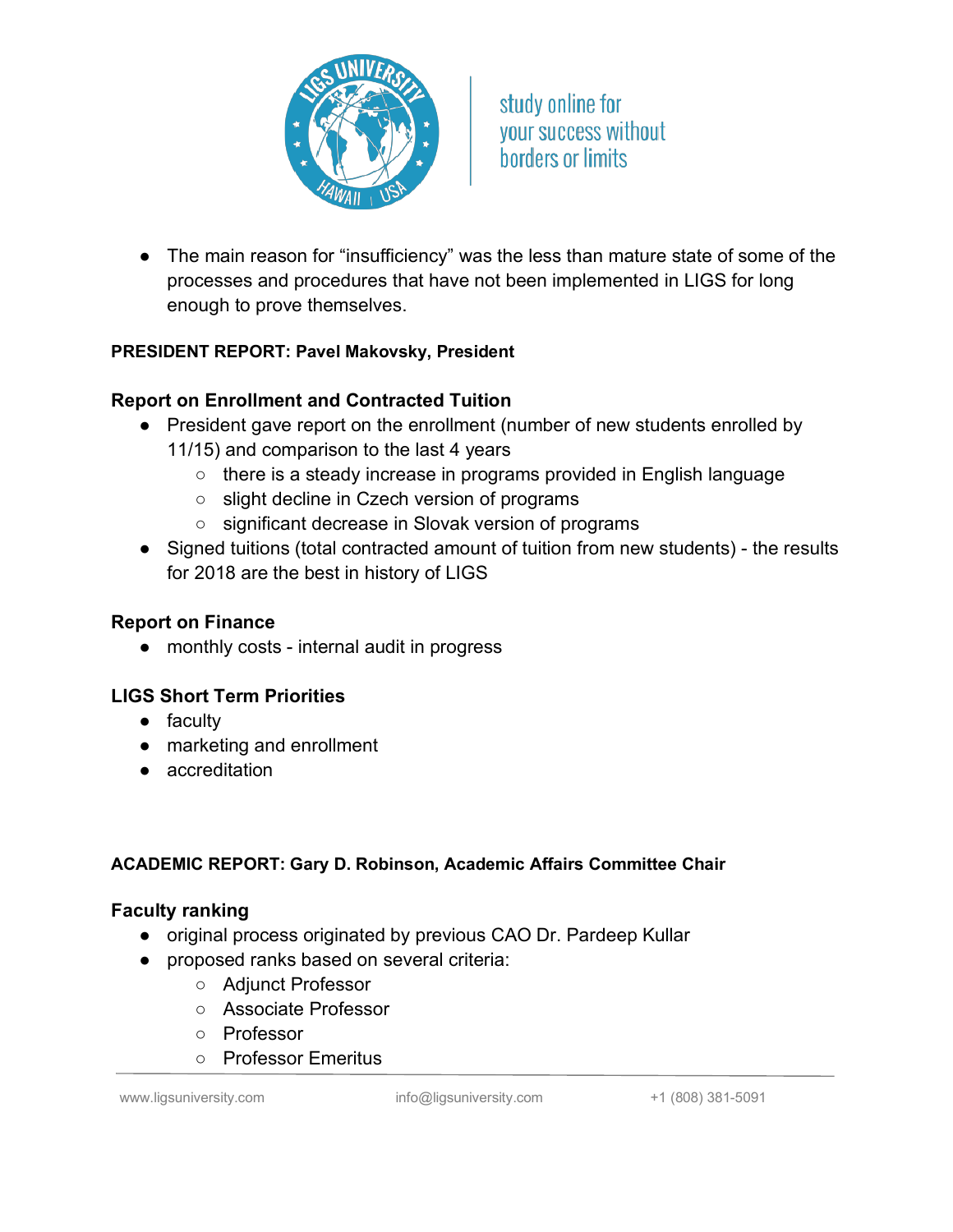

study online for your success without **horders or limits** 

● The main reason for "insufficiency" was the less than mature state of some of the processes and procedures that have not been implemented in LIGS for long enough to prove themselves.

#### **PRESIDENT REPORT: Pavel Makovsky, President**

## **Report on Enrollment and Contracted Tuition**

- President gave report on the enrollment (number of new students enrolled by 11/15) and comparison to the last 4 years
	- there is a steady increase in programs provided in English language
	- slight decline in Czech version of programs
	- significant decrease in Slovak version of programs
- Signed tuitions (total contracted amount of tuition from new students) the results for 2018 are the best in history of LIGS

#### **Report on Finance**

● monthly costs - internal audit in progress

## **LIGS Short Term Priorities**

- faculty
- marketing and enrollment
- accreditation

#### **ACADEMIC REPORT: Gary D. Robinson, Academic Affairs Committee Chair**

#### **Faculty ranking**

- original process originated by previous CAO Dr. Pardeep Kullar
- proposed ranks based on several criteria:
	- Adjunct Professor
	- Associate Professor
	- Professor
	- Professor Emeritus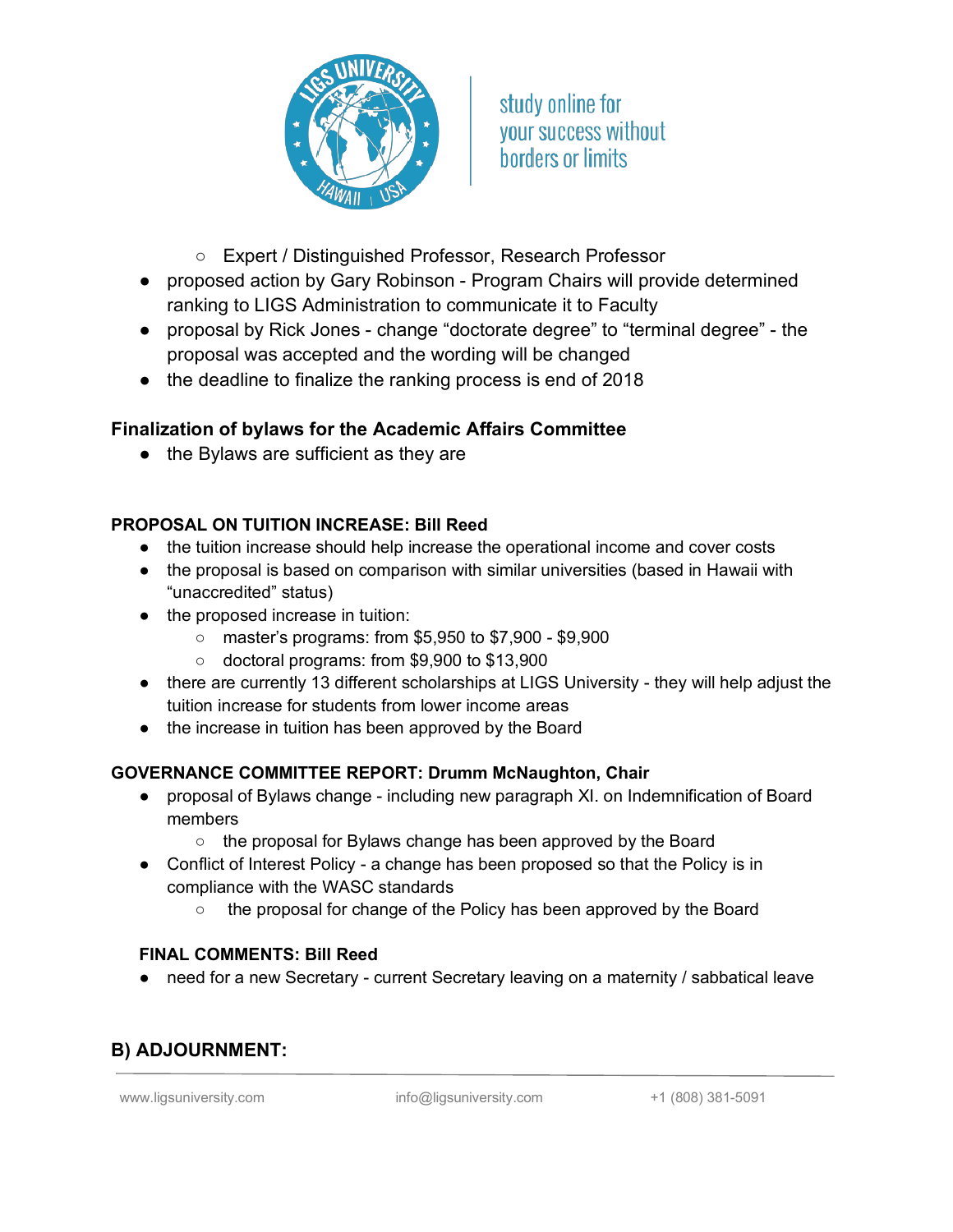

study online for your success without borders or limits

- Expert / Distinguished Professor, Research Professor
- proposed action by Gary Robinson Program Chairs will provide determined ranking to LIGS Administration to communicate it to Faculty
- proposal by Rick Jones change "doctorate degree" to "terminal degree" the proposal was accepted and the wording will be changed
- the deadline to finalize the ranking process is end of 2018

## **Finalization of bylaws for the Academic Affairs Committee**

● the Bylaws are sufficient as they are

#### **PROPOSAL ON TUITION INCREASE: Bill Reed**

- the tuition increase should help increase the operational income and cover costs
- the proposal is based on comparison with similar universities (based in Hawaii with "unaccredited" status)
- the proposed increase in tuition:
	- master's programs: from \$5,950 to \$7,900 \$9,900
	- doctoral programs: from \$9,900 to \$13,900
- there are currently 13 different scholarships at LIGS University they will help adjust the tuition increase for students from lower income areas
- the increase in tuition has been approved by the Board

#### **GOVERNANCE COMMITTEE REPORT: Drumm McNaughton, Chair**

- proposal of Bylaws change including new paragraph XI. on Indemnification of Board members
	- the proposal for Bylaws change has been approved by the Board
- Conflict of Interest Policy a change has been proposed so that the Policy is in compliance with the WASC standards
	- the proposal for change of the Policy has been approved by the Board

#### **FINAL COMMENTS: Bill Reed**

● need for a new Secretary - current Secretary leaving on a maternity / sabbatical leave

# **B) ADJOURNMENT:**